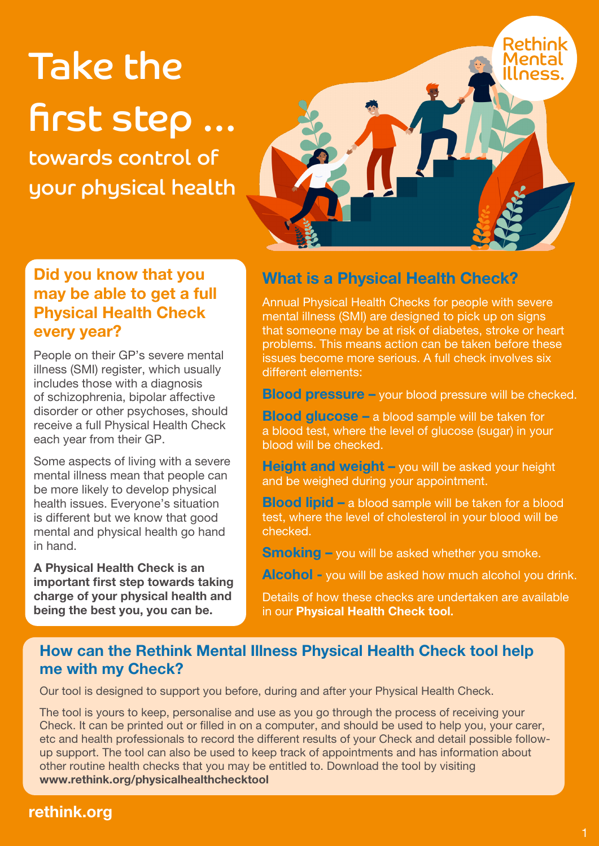# Take the first step …

towards control of your physical health



#### Did you know that you may be able to get a full Physical Health Check every year?

People on their GP's severe mental illness (SMI) register, which usually includes those with a diagnosis of schizophrenia, bipolar affective disorder or other psychoses, should receive a full Physical Health Check each year from their GP.

Some aspects of living with a severe mental illness mean that people can be more likely to develop physical health issues. Everyone's situation is different but we know that good mental and physical health go hand in hand.

A Physical Health Check is an important first step towards taking charge of your physical health and being the best you, you can be.

# What is a Physical Health Check?

Annual Physical Health Checks for people with severe mental illness (SMI) are designed to pick up on signs that someone may be at risk of diabetes, stroke or heart problems. This means action can be taken before these issues become more serious. A full check involves six different elements:

Blood pressure – your blood pressure will be checked.

Blood glucose – a blood sample will be taken for a blood test, where the level of glucose (sugar) in your blood will be checked.

Height and weight – you will be asked your height and be weighed during your appointment.

Blood lipid – a blood sample will be taken for a blood test, where the level of cholesterol in your blood will be checked.

Smoking - you will be asked whether you smoke.

Alcohol - you will be asked how much alcohol you drink.

Details of how these checks are undertaken are available in our Physical Health Check tool.

#### How can the Rethink Mental Illness Physical Health Check tool help me with my Check?

Our tool is designed to support you before, during and after your Physical Health Check.

The tool is yours to keep, personalise and use as you go through the process of receiving your Check. It can be printed out or filled in on a computer, and should be used to help you, your carer, etc and health professionals to record the different results of your Check and detail possible followup support. The tool can also be used to keep track of appointments and has information about other routine health checks that you may be entitled to. Download the tool by visiting www.rethink.org/physicalhealthchecktool

# rethink.org